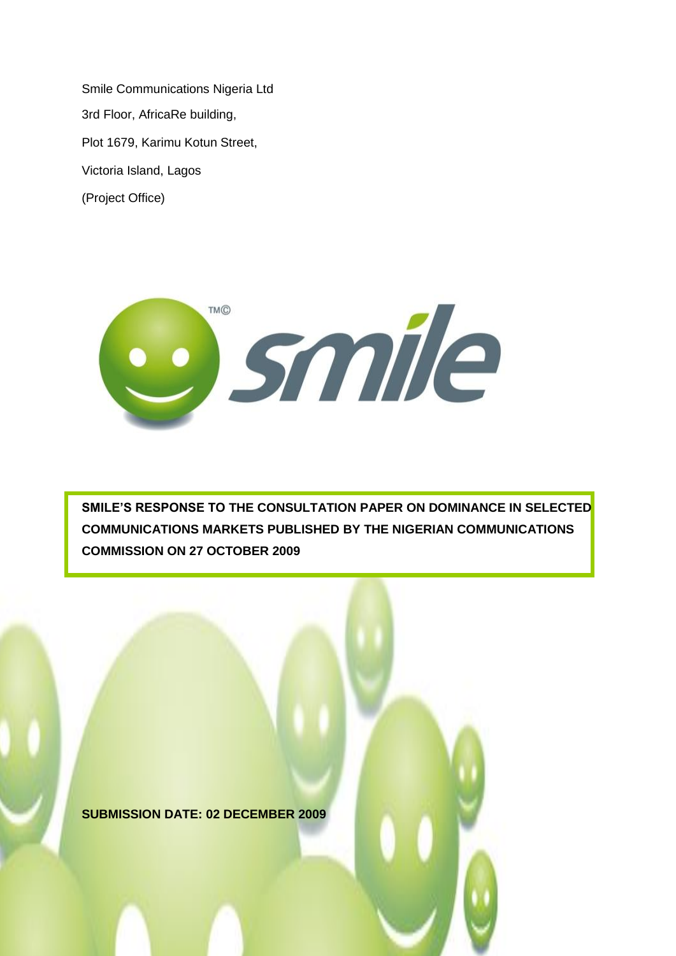Smile Communications Nigeria Ltd 3rd Floor, AfricaRe building, Plot 1679, Karimu Kotun Street, Victoria Island, Lagos (Project Office)



**SMILE'S RESPONSE TO THE CONSULTATION PAPER ON DOMINANCE IN SELECTED COMMUNICATIONS MARKETS PUBLISHED BY THE NIGERIAN COMMUNICATIONS COMMISSION ON 27 OCTOBER 2009** 

**SUBMISSION DATE: 02 DECEMBER 2009**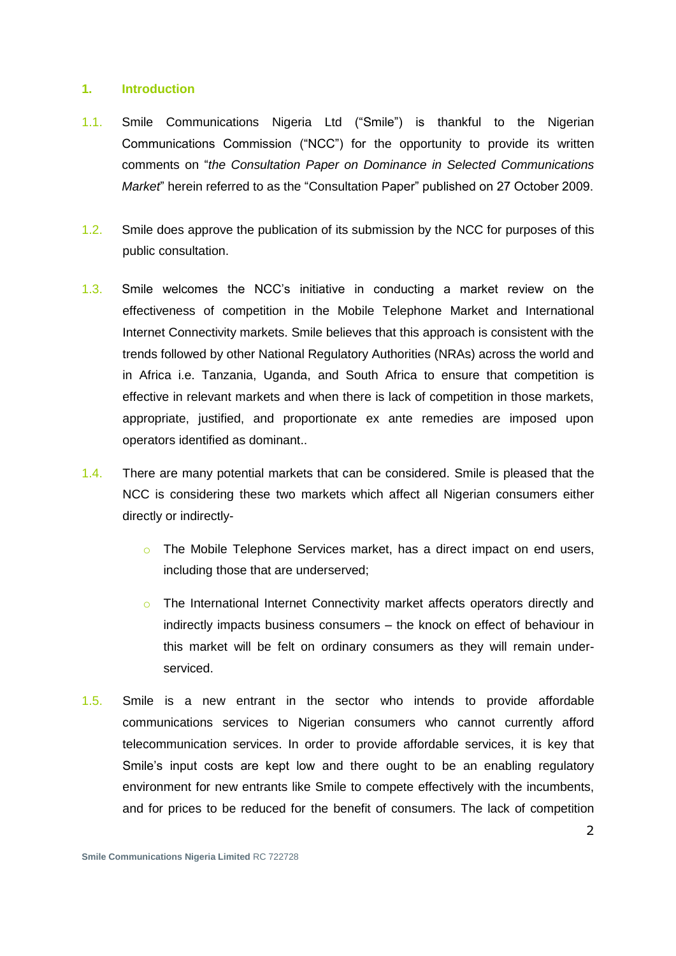#### **1. Introduction**

- 1.1. Smile Communications Nigeria Ltd ("Smile") is thankful to the Nigerian Communications Commission ("NCC") for the opportunity to provide its written comments on "*the Consultation Paper on Dominance in Selected Communications Market*" herein referred to as the "Consultation Paper" published on 27 October 2009.
- 1.2. Smile does approve the publication of its submission by the NCC for purposes of this public consultation.
- 1.3. Smile welcomes the NCC"s initiative in conducting a market review on the effectiveness of competition in the Mobile Telephone Market and International Internet Connectivity markets. Smile believes that this approach is consistent with the trends followed by other National Regulatory Authorities (NRAs) across the world and in Africa i.e. Tanzania, Uganda, and South Africa to ensure that competition is effective in relevant markets and when there is lack of competition in those markets, appropriate, justified, and proportionate ex ante remedies are imposed upon operators identified as dominant..
- 1.4. There are many potential markets that can be considered. Smile is pleased that the NCC is considering these two markets which affect all Nigerian consumers either directly or indirectly
	- o The Mobile Telephone Services market, has a direct impact on end users, including those that are underserved;
	- o The International Internet Connectivity market affects operators directly and indirectly impacts business consumers – the knock on effect of behaviour in this market will be felt on ordinary consumers as they will remain underserviced.
- 1.5. Smile is a new entrant in the sector who intends to provide affordable communications services to Nigerian consumers who cannot currently afford telecommunication services. In order to provide affordable services, it is key that Smile's input costs are kept low and there ought to be an enabling regulatory environment for new entrants like Smile to compete effectively with the incumbents, and for prices to be reduced for the benefit of consumers. The lack of competition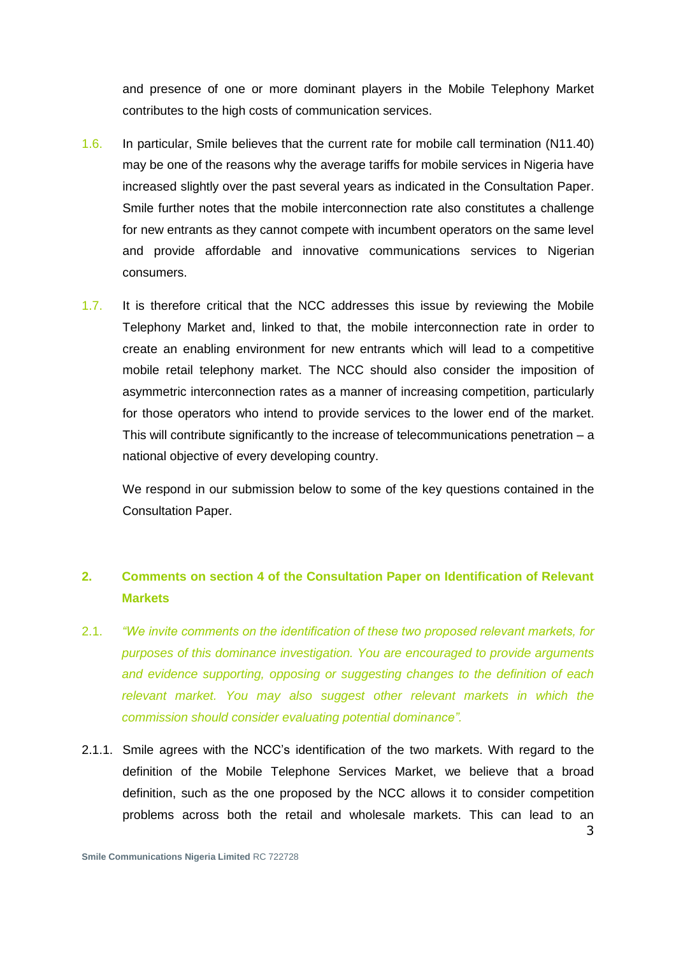and presence of one or more dominant players in the Mobile Telephony Market contributes to the high costs of communication services.

- 1.6. In particular, Smile believes that the current rate for mobile call termination (N11.40) may be one of the reasons why the average tariffs for mobile services in Nigeria have increased slightly over the past several years as indicated in the Consultation Paper. Smile further notes that the mobile interconnection rate also constitutes a challenge for new entrants as they cannot compete with incumbent operators on the same level and provide affordable and innovative communications services to Nigerian consumers.
- 1.7. It is therefore critical that the NCC addresses this issue by reviewing the Mobile Telephony Market and, linked to that, the mobile interconnection rate in order to create an enabling environment for new entrants which will lead to a competitive mobile retail telephony market. The NCC should also consider the imposition of asymmetric interconnection rates as a manner of increasing competition, particularly for those operators who intend to provide services to the lower end of the market. This will contribute significantly to the increase of telecommunications penetration  $- a$ national objective of every developing country.

We respond in our submission below to some of the key questions contained in the Consultation Paper.

# **2. Comments on section 4 of the Consultation Paper on Identification of Relevant Markets**

- 2.1. *"We invite comments on the identification of these two proposed relevant markets, for purposes of this dominance investigation. You are encouraged to provide arguments and evidence supporting, opposing or suggesting changes to the definition of each relevant market. You may also suggest other relevant markets in which the commission should consider evaluating potential dominance".*
- 2.1.1. Smile agrees with the NCC"s identification of the two markets. With regard to the definition of the Mobile Telephone Services Market, we believe that a broad definition, such as the one proposed by the NCC allows it to consider competition problems across both the retail and wholesale markets. This can lead to an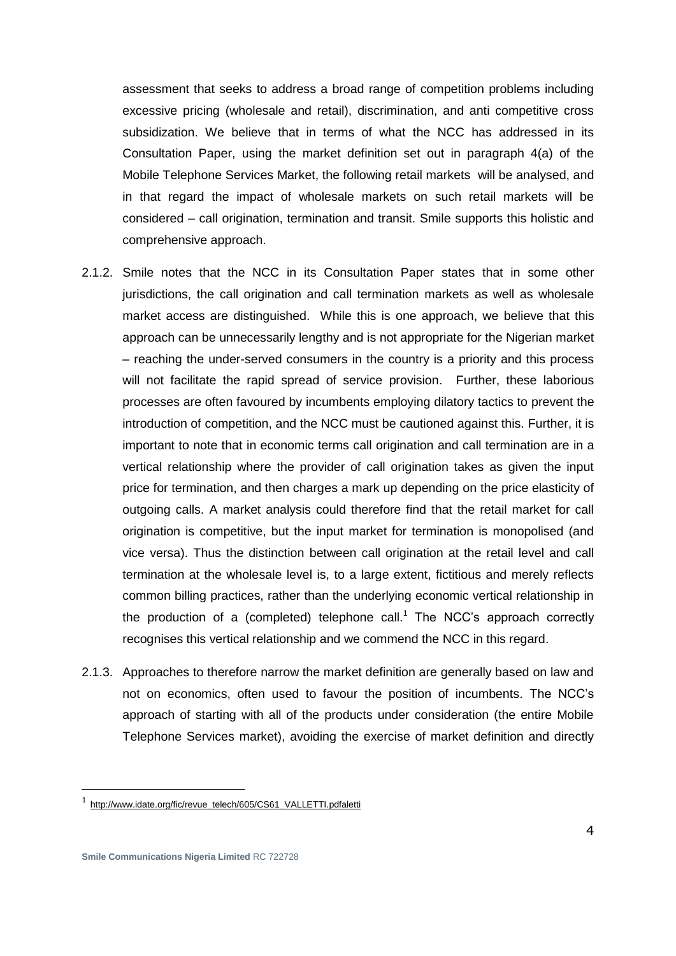assessment that seeks to address a broad range of competition problems including excessive pricing (wholesale and retail), discrimination, and anti competitive cross subsidization. We believe that in terms of what the NCC has addressed in its Consultation Paper, using the market definition set out in paragraph 4(a) of the Mobile Telephone Services Market, the following retail markets will be analysed, and in that regard the impact of wholesale markets on such retail markets will be considered – call origination, termination and transit. Smile supports this holistic and comprehensive approach.

- 2.1.2. Smile notes that the NCC in its Consultation Paper states that in some other jurisdictions, the call origination and call termination markets as well as wholesale market access are distinguished. While this is one approach, we believe that this approach can be unnecessarily lengthy and is not appropriate for the Nigerian market – reaching the under-served consumers in the country is a priority and this process will not facilitate the rapid spread of service provision. Further, these laborious processes are often favoured by incumbents employing dilatory tactics to prevent the introduction of competition, and the NCC must be cautioned against this. Further, it is important to note that in economic terms call origination and call termination are in a vertical relationship where the provider of call origination takes as given the input price for termination, and then charges a mark up depending on the price elasticity of outgoing calls. A market analysis could therefore find that the retail market for call origination is competitive, but the input market for termination is monopolised (and vice versa). Thus the distinction between call origination at the retail level and call termination at the wholesale level is, to a large extent, fictitious and merely reflects common billing practices, rather than the underlying economic vertical relationship in the production of a (completed) telephone call.<sup>1</sup> The NCC's approach correctly recognises this vertical relationship and we commend the NCC in this regard.
- 2.1.3. Approaches to therefore narrow the market definition are generally based on law and not on economics, often used to favour the position of incumbents. The NCC"s approach of starting with all of the products under consideration (the entire Mobile Telephone Services market), avoiding the exercise of market definition and directly

<sup>1</sup> [http://www.idate.org/fic/revue\\_telech/605/CS61\\_VALLETTI.pdfaletti](http://www.idate.org/fic/revue_telech/605/CS61_VALLETTI.pdfaletti)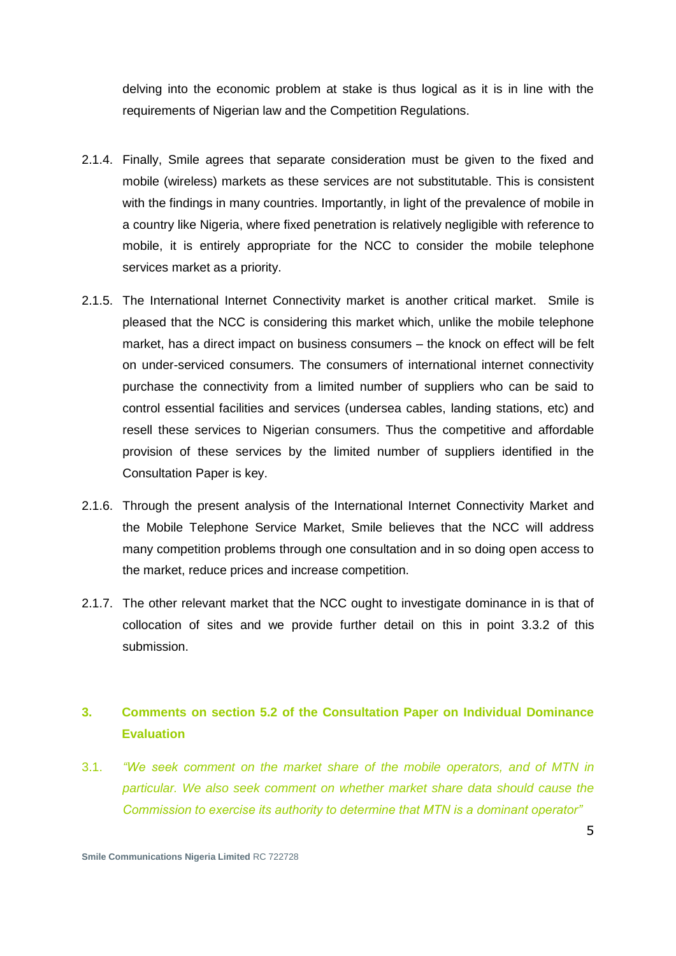delving into the economic problem at stake is thus logical as it is in line with the requirements of Nigerian law and the Competition Regulations.

- 2.1.4. Finally, Smile agrees that separate consideration must be given to the fixed and mobile (wireless) markets as these services are not substitutable. This is consistent with the findings in many countries. Importantly, in light of the prevalence of mobile in a country like Nigeria, where fixed penetration is relatively negligible with reference to mobile, it is entirely appropriate for the NCC to consider the mobile telephone services market as a priority.
- 2.1.5. The International Internet Connectivity market is another critical market. Smile is pleased that the NCC is considering this market which, unlike the mobile telephone market, has a direct impact on business consumers – the knock on effect will be felt on under-serviced consumers. The consumers of international internet connectivity purchase the connectivity from a limited number of suppliers who can be said to control essential facilities and services (undersea cables, landing stations, etc) and resell these services to Nigerian consumers. Thus the competitive and affordable provision of these services by the limited number of suppliers identified in the Consultation Paper is key.
- 2.1.6. Through the present analysis of the International Internet Connectivity Market and the Mobile Telephone Service Market, Smile believes that the NCC will address many competition problems through one consultation and in so doing open access to the market, reduce prices and increase competition.
- 2.1.7. The other relevant market that the NCC ought to investigate dominance in is that of collocation of sites and we provide further detail on this in point 3.3.2 of this submission.

#### **3. Comments on section 5.2 of the Consultation Paper on Individual Dominance Evaluation**

3.1. *"We seek comment on the market share of the mobile operators, and of MTN in particular. We also seek comment on whether market share data should cause the Commission to exercise its authority to determine that MTN is a dominant operator"*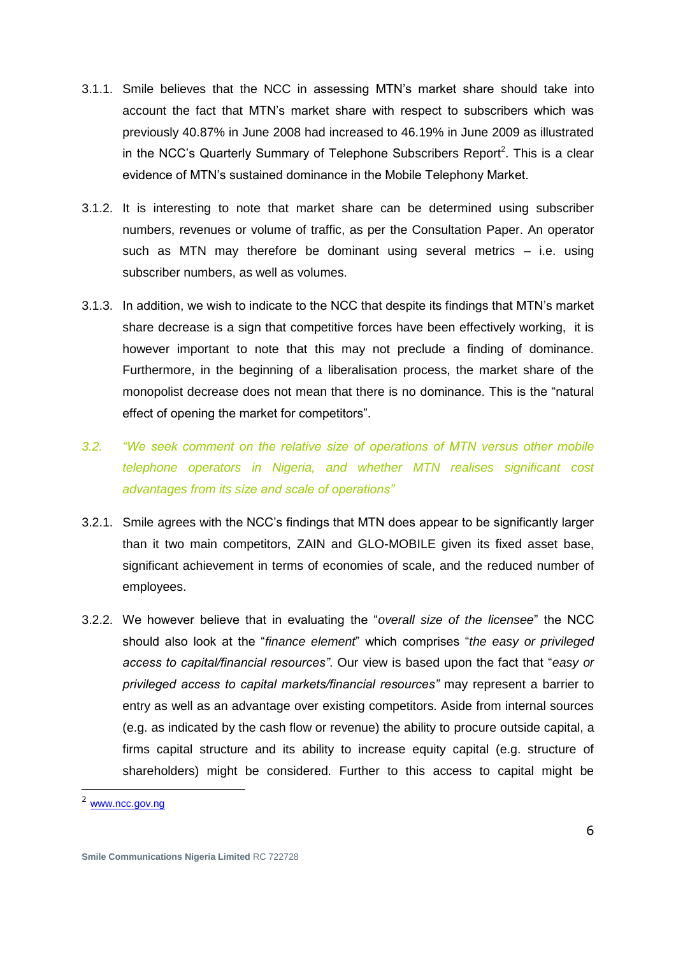- 3.1.1. Smile believes that the NCC in assessing MTN"s market share should take into account the fact that MTN"s market share with respect to subscribers which was previously 40.87% in June 2008 had increased to 46.19% in June 2009 as illustrated in the NCC's Quarterly Summary of Telephone Subscribers Report<sup>2</sup>. This is a clear evidence of MTN"s sustained dominance in the Mobile Telephony Market.
- 3.1.2. It is interesting to note that market share can be determined using subscriber numbers, revenues or volume of traffic, as per the Consultation Paper. An operator such as MTN may therefore be dominant using several metrics – i.e. using subscriber numbers, as well as volumes.
- 3.1.3. In addition, we wish to indicate to the NCC that despite its findings that MTN"s market share decrease is a sign that competitive forces have been effectively working, it is however important to note that this may not preclude a finding of dominance. Furthermore, in the beginning of a liberalisation process, the market share of the monopolist decrease does not mean that there is no dominance. This is the "natural effect of opening the market for competitors".
- *3.2. "We seek comment on the relative size of operations of MTN versus other mobile telephone operators in Nigeria, and whether MTN realises significant cost advantages from its size and scale of operations"*
- 3.2.1. Smile agrees with the NCC"s findings that MTN does appear to be significantly larger than it two main competitors, ZAIN and GLO-MOBILE given its fixed asset base, significant achievement in terms of economies of scale, and the reduced number of employees.
- 3.2.2. We however believe that in evaluating the "*overall size of the licensee*" the NCC should also look at the "*finance element*" which comprises "*the easy or privileged access to capital/financial resources"*. Our view is based upon the fact that "*easy or privileged access to capital markets/financial resources"* may represent a barrier to entry as well as an advantage over existing competitors. Aside from internal sources (e.g. as indicated by the cash flow or revenue) the ability to procure outside capital, a firms capital structure and its ability to increase equity capital (e.g. structure of shareholders) might be considered. Further to this access to capital might be

<sup>&</sup>lt;sup>2</sup> [www.ncc.gov.ng](http://www.ncc.gov.ng/)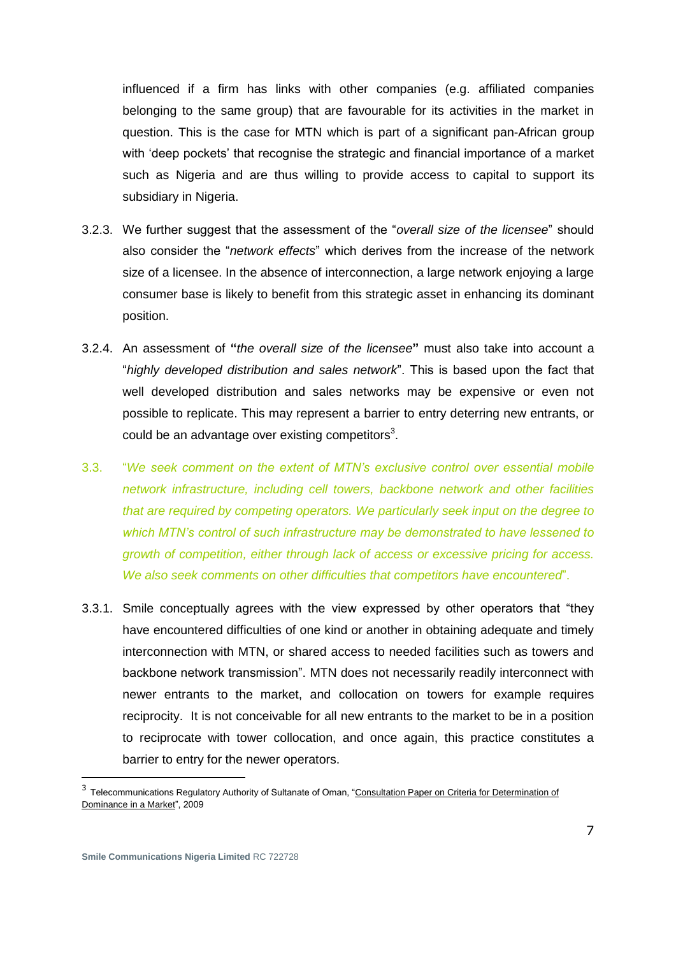influenced if a firm has links with other companies (e.g. affiliated companies belonging to the same group) that are favourable for its activities in the market in question. This is the case for MTN which is part of a significant pan-African group with 'deep pockets' that recognise the strategic and financial importance of a market such as Nigeria and are thus willing to provide access to capital to support its subsidiary in Nigeria.

- 3.2.3. We further suggest that the assessment of the "*overall size of the licensee*" should also consider the "*network effects*" which derives from the increase of the network size of a licensee. In the absence of interconnection, a large network enjoying a large consumer base is likely to benefit from this strategic asset in enhancing its dominant position.
- 3.2.4. An assessment of **"***the overall size of the licensee***"** must also take into account a "*highly developed distribution and sales network*". This is based upon the fact that well developed distribution and sales networks may be expensive or even not possible to replicate. This may represent a barrier to entry deterring new entrants, or could be an advantage over existing competitors<sup>3</sup>.
- 3.3. "*We seek comment on the extent of MTN's exclusive control over essential mobile network infrastructure, including cell towers, backbone network and other facilities that are required by competing operators. We particularly seek input on the degree to which MTN's control of such infrastructure may be demonstrated to have lessened to growth of competition, either through lack of access or excessive pricing for access. We also seek comments on other difficulties that competitors have encountered*".
- 3.3.1. Smile conceptually agrees with the view expressed by other operators that "they have encountered difficulties of one kind or another in obtaining adequate and timely interconnection with MTN, or shared access to needed facilities such as towers and backbone network transmission". MTN does not necessarily readily interconnect with newer entrants to the market, and collocation on towers for example requires reciprocity. It is not conceivable for all new entrants to the market to be in a position to reciprocate with tower collocation, and once again, this practice constitutes a barrier to entry for the newer operators.

<sup>&</sup>lt;sup>3</sup> Telecommunications Regulatory Authority of Sultanate of Oman, "Consultation Paper on Criteria for Determination of Dominance in a Market", 2009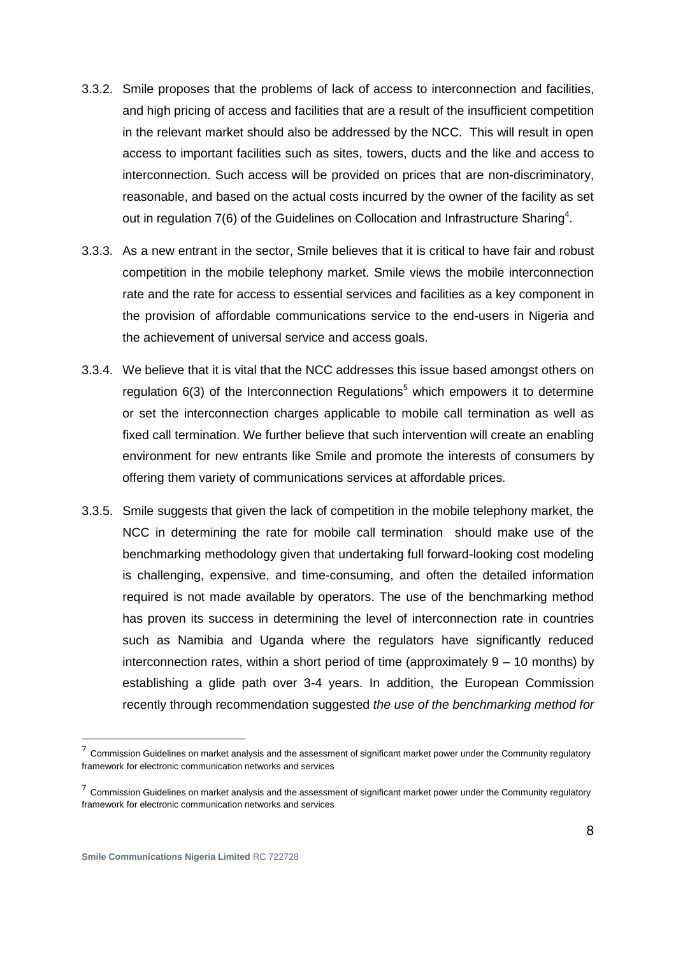- 3.3.2. Smile proposes that the problems of lack of access to interconnection and facilities, and high pricing of access and facilities that are a result of the insufficient competition in the relevant market should also be addressed by the NCC. This will result in open access to important facilities such as sites, towers, ducts and the like and access to interconnection. Such access will be provided on prices that are non-discriminatory, reasonable, and based on the actual costs incurred by the owner of the facility as set out in regulation  $7(6)$  of the Guidelines on Collocation and Infrastructure Sharing<sup>4</sup>.
- 3.3.3. As a new entrant in the sector, Smile believes that it is critical to have fair and robust competition in the mobile telephony market. Smile views the mobile interconnection rate and the rate for access to essential services and facilities as a key component in the provision of affordable communications service to the end-users in Nigeria and the achievement of universal service and access goals.
- 3.3.4. We believe that it is vital that the NCC addresses this issue based amongst others on regulation  $6(3)$  of the Interconnection Regulations<sup>5</sup> which empowers it to determine or set the interconnection charges applicable to mobile call termination as well as fixed call termination. We further believe that such intervention will create an enabling environment for new entrants like Smile and promote the interests of consumers by offering them variety of communications services at affordable prices.
- 3.3.5. Smile suggests that given the lack of competition in the mobile telephony market, the NCC in determining the rate for mobile call termination should make use of the benchmarking methodology given that undertaking full forward-looking cost modeling is challenging, expensive, and time-consuming, and often the detailed information required is not made available by operators. The use of the benchmarking method has proven its success in determining the level of interconnection rate in countries such as Namibia and Uganda where the regulators have significantly reduced interconnection rates, within a short period of time (approximately  $9 - 10$  months) by establishing a glide path over 3-4 years. In addition, the European Commission recently through recommendation suggested *the use of the benchmarking method for*

 $<sup>7</sup>$  Commission Guidelines on market analysis and the assessment of significant market power under the Community regulatory</sup> framework for electronic communication networks and services

 $<sup>7</sup>$  Commission Guidelines on market analysis and the assessment of significant market power under the Community regulatory</sup> framework for electronic communication networks and services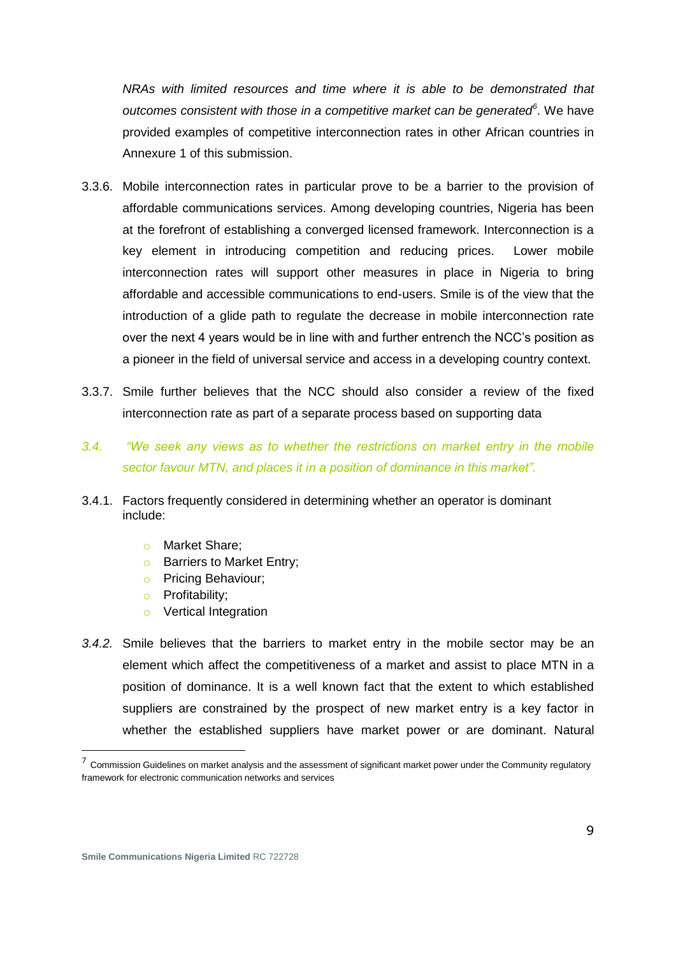*NRAs with limited resources and time where it is able to be demonstrated that outcomes consistent with those in a competitive market can be generated<sup>6</sup>* . We have provided examples of competitive interconnection rates in other African countries in Annexure 1 of this submission.

- 3.3.6. Mobile interconnection rates in particular prove to be a barrier to the provision of affordable communications services. Among developing countries, Nigeria has been at the forefront of establishing a converged licensed framework. Interconnection is a key element in introducing competition and reducing prices. Lower mobile interconnection rates will support other measures in place in Nigeria to bring affordable and accessible communications to end-users. Smile is of the view that the introduction of a glide path to regulate the decrease in mobile interconnection rate over the next 4 years would be in line with and further entrench the NCC"s position as a pioneer in the field of universal service and access in a developing country context.
- 3.3.7. Smile further believes that the NCC should also consider a review of the fixed interconnection rate as part of a separate process based on supporting data
- *3.4. "We seek any views as to whether the restrictions on market entry in the mobile sector favour MTN, and places it in a position of dominance in this market".*
- 3.4.1. Factors frequently considered in determining whether an operator is dominant include:
	- o Market Share;
	- **o** Barriers to Market Entry;
	- o Pricing Behaviour;
	- o Profitability;
	- o Vertical Integration
- *3.4.2.* Smile believes that the barriers to market entry in the mobile sector may be an element which affect the competitiveness of a market and assist to place MTN in a position of dominance. It is a well known fact that the extent to which established suppliers are constrained by the prospect of new market entry is a key factor in whether the established suppliers have market power or are dominant. Natural

 $<sup>7</sup>$  Commission Guidelines on market analysis and the assessment of significant market power under the Community regulatory</sup> framework for electronic communication networks and services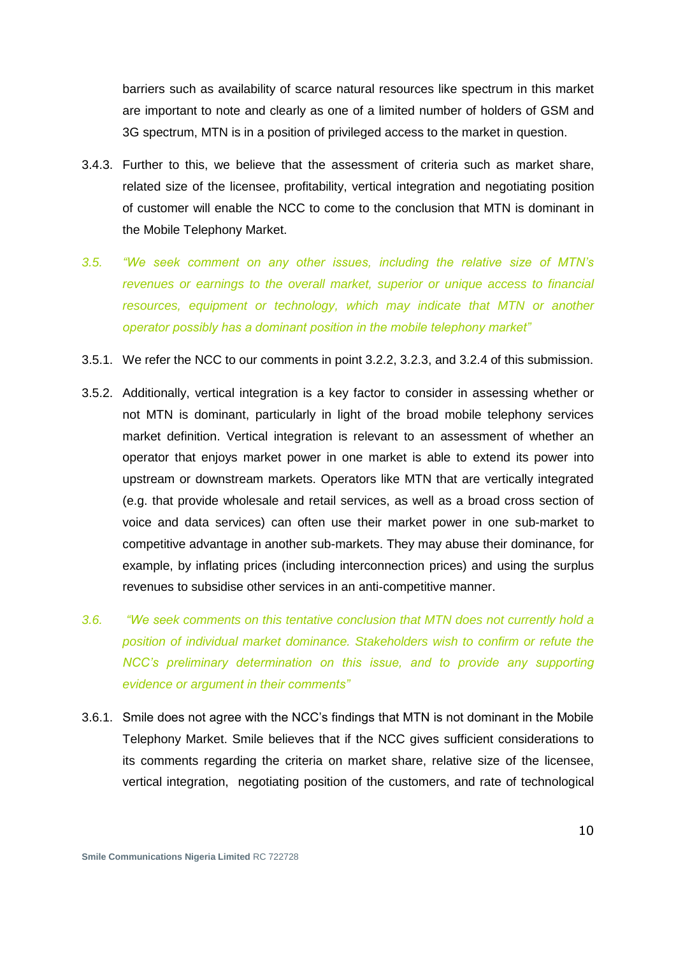barriers such as availability of scarce natural resources like spectrum in this market are important to note and clearly as one of a limited number of holders of GSM and 3G spectrum, MTN is in a position of privileged access to the market in question.

- 3.4.3. Further to this, we believe that the assessment of criteria such as market share, related size of the licensee, profitability, vertical integration and negotiating position of customer will enable the NCC to come to the conclusion that MTN is dominant in the Mobile Telephony Market.
- *3.5. "We seek comment on any other issues, including the relative size of MTN's revenues or earnings to the overall market, superior or unique access to financial resources, equipment or technology, which may indicate that MTN or another operator possibly has a dominant position in the mobile telephony market"*
- 3.5.1. We refer the NCC to our comments in point 3.2.2, 3.2.3, and 3.2.4 of this submission.
- 3.5.2. Additionally, vertical integration is a key factor to consider in assessing whether or not MTN is dominant, particularly in light of the broad mobile telephony services market definition. Vertical integration is relevant to an assessment of whether an operator that enjoys market power in one market is able to extend its power into upstream or downstream markets. Operators like MTN that are vertically integrated (e.g. that provide wholesale and retail services, as well as a broad cross section of voice and data services) can often use their market power in one sub-market to competitive advantage in another sub-markets. They may abuse their dominance, for example, by inflating prices (including interconnection prices) and using the surplus revenues to subsidise other services in an anti-competitive manner.
- *3.6. "We seek comments on this tentative conclusion that MTN does not currently hold a position of individual market dominance. Stakeholders wish to confirm or refute the NCC's preliminary determination on this issue, and to provide any supporting evidence or argument in their comments"*
- 3.6.1. Smile does not agree with the NCC"s findings that MTN is not dominant in the Mobile Telephony Market. Smile believes that if the NCC gives sufficient considerations to its comments regarding the criteria on market share, relative size of the licensee, vertical integration, negotiating position of the customers, and rate of technological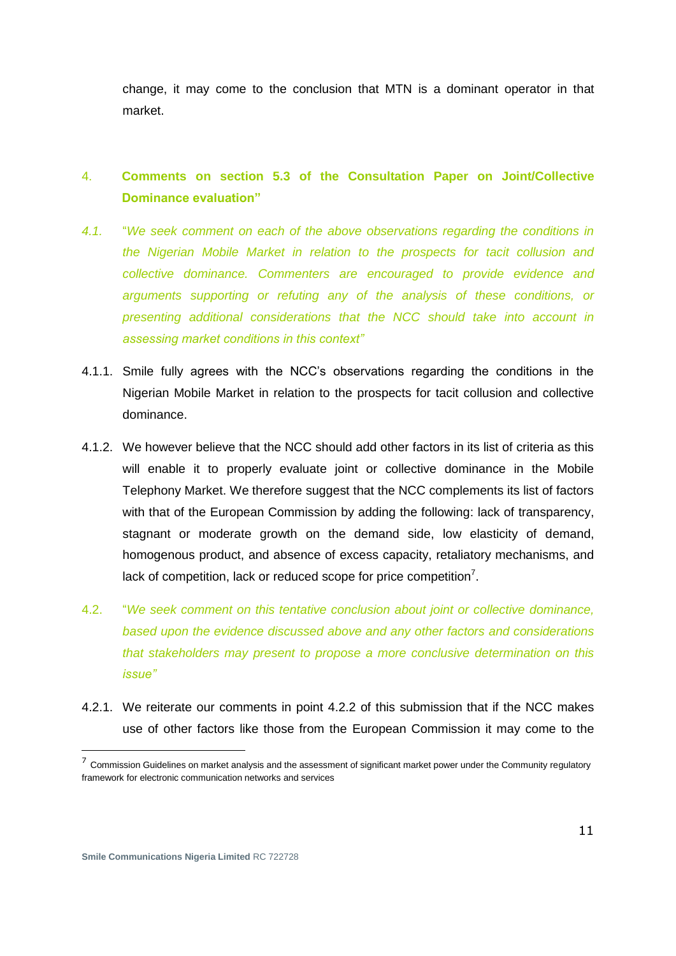change, it may come to the conclusion that MTN is a dominant operator in that market.

# 4. **Comments on section 5.3 of the Consultation Paper on Joint/Collective Dominance evaluation"**

- *4.1.* "*We seek comment on each of the above observations regarding the conditions in the Nigerian Mobile Market in relation to the prospects for tacit collusion and collective dominance. Commenters are encouraged to provide evidence and arguments supporting or refuting any of the analysis of these conditions, or presenting additional considerations that the NCC should take into account in assessing market conditions in this context"*
- 4.1.1. Smile fully agrees with the NCC"s observations regarding the conditions in the Nigerian Mobile Market in relation to the prospects for tacit collusion and collective dominance.
- 4.1.2. We however believe that the NCC should add other factors in its list of criteria as this will enable it to properly evaluate joint or collective dominance in the Mobile Telephony Market. We therefore suggest that the NCC complements its list of factors with that of the European Commission by adding the following: lack of transparency, stagnant or moderate growth on the demand side, low elasticity of demand, homogenous product, and absence of excess capacity, retaliatory mechanisms, and lack of competition, lack or reduced scope for price competition<sup>7</sup>.
- 4.2. "*We seek comment on this tentative conclusion about joint or collective dominance, based upon the evidence discussed above and any other factors and considerations that stakeholders may present to propose a more conclusive determination on this issue"*
- 4.2.1. We reiterate our comments in point 4.2.2 of this submission that if the NCC makes use of other factors like those from the European Commission it may come to the

 $<sup>7</sup>$  Commission Guidelines on market analysis and the assessment of significant market power under the Community regulatory</sup> framework for electronic communication networks and services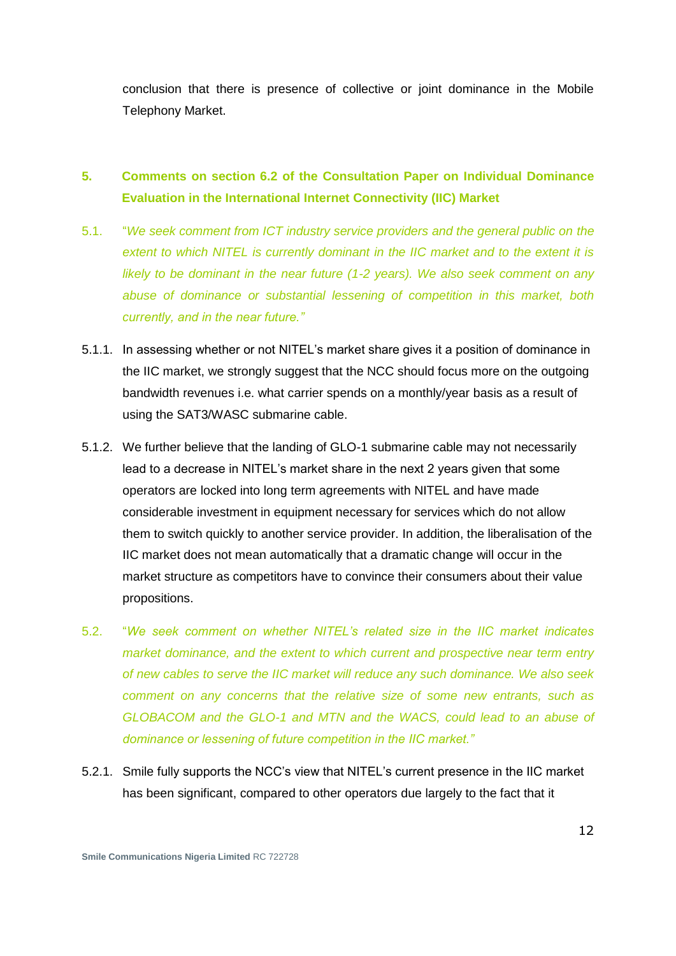conclusion that there is presence of collective or joint dominance in the Mobile Telephony Market.

# **5. Comments on section 6.2 of the Consultation Paper on Individual Dominance Evaluation in the International Internet Connectivity (IIC) Market**

- 5.1. "*We seek comment from ICT industry service providers and the general public on the extent to which NITEL is currently dominant in the IIC market and to the extent it is likely to be dominant in the near future (1-2 years). We also seek comment on any abuse of dominance or substantial lessening of competition in this market, both currently, and in the near future."*
- 5.1.1. In assessing whether or not NITEL"s market share gives it a position of dominance in the IIC market, we strongly suggest that the NCC should focus more on the outgoing bandwidth revenues i.e. what carrier spends on a monthly/year basis as a result of using the SAT3/WASC submarine cable.
- 5.1.2. We further believe that the landing of GLO-1 submarine cable may not necessarily lead to a decrease in NITEL's market share in the next 2 years given that some operators are locked into long term agreements with NITEL and have made considerable investment in equipment necessary for services which do not allow them to switch quickly to another service provider. In addition, the liberalisation of the IIC market does not mean automatically that a dramatic change will occur in the market structure as competitors have to convince their consumers about their value propositions.
- 5.2. "*We seek comment on whether NITEL's related size in the IIC market indicates market dominance, and the extent to which current and prospective near term entry of new cables to serve the IIC market will reduce any such dominance. We also seek comment on any concerns that the relative size of some new entrants, such as GLOBACOM and the GLO-1 and MTN and the WACS, could lead to an abuse of dominance or lessening of future competition in the IIC market."*
- 5.2.1. Smile fully supports the NCC"s view that NITEL"s current presence in the IIC market has been significant, compared to other operators due largely to the fact that it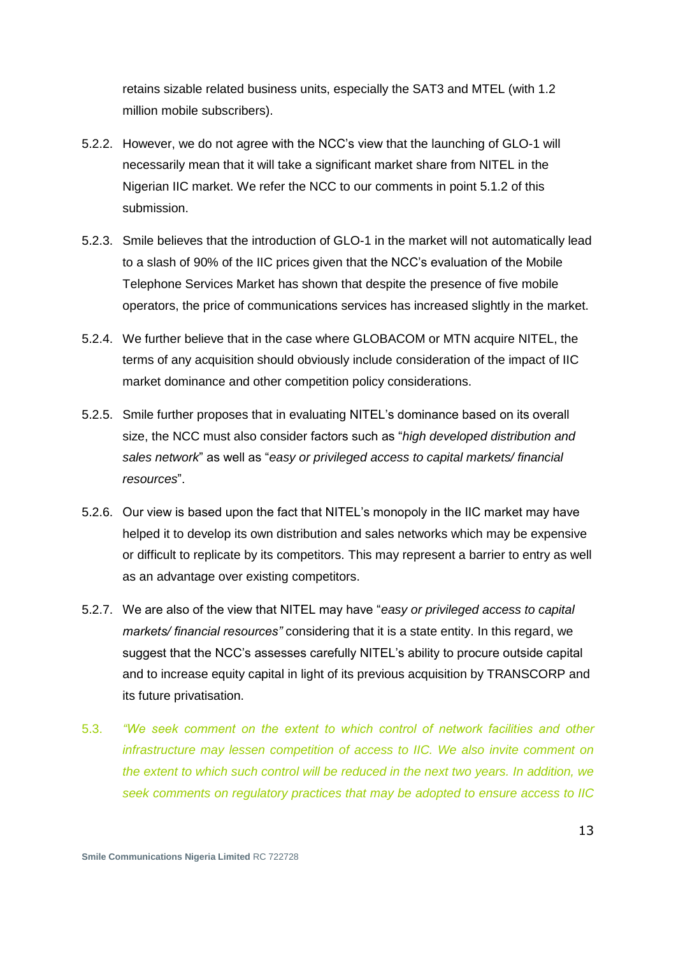retains sizable related business units, especially the SAT3 and MTEL (with 1.2 million mobile subscribers).

- 5.2.2. However, we do not agree with the NCC"s view that the launching of GLO-1 will necessarily mean that it will take a significant market share from NITEL in the Nigerian IIC market. We refer the NCC to our comments in point 5.1.2 of this submission.
- 5.2.3. Smile believes that the introduction of GLO-1 in the market will not automatically lead to a slash of 90% of the IIC prices given that the NCC"s evaluation of the Mobile Telephone Services Market has shown that despite the presence of five mobile operators, the price of communications services has increased slightly in the market.
- 5.2.4. We further believe that in the case where GLOBACOM or MTN acquire NITEL, the terms of any acquisition should obviously include consideration of the impact of IIC market dominance and other competition policy considerations.
- 5.2.5. Smile further proposes that in evaluating NITEL"s dominance based on its overall size, the NCC must also consider factors such as "*high developed distribution and sales network*" as well as "*easy or privileged access to capital markets/ financial resources*".
- 5.2.6. Our view is based upon the fact that NITEL"s monopoly in the IIC market may have helped it to develop its own distribution and sales networks which may be expensive or difficult to replicate by its competitors. This may represent a barrier to entry as well as an advantage over existing competitors.
- 5.2.7. We are also of the view that NITEL may have "*easy or privileged access to capital markets/ financial resources"* considering that it is a state entity. In this regard, we suggest that the NCC"s assesses carefully NITEL"s ability to procure outside capital and to increase equity capital in light of its previous acquisition by TRANSCORP and its future privatisation.
- 5.3. *"We seek comment on the extent to which control of network facilities and other infrastructure may lessen competition of access to IIC. We also invite comment on the extent to which such control will be reduced in the next two years. In addition, we seek comments on regulatory practices that may be adopted to ensure access to IIC*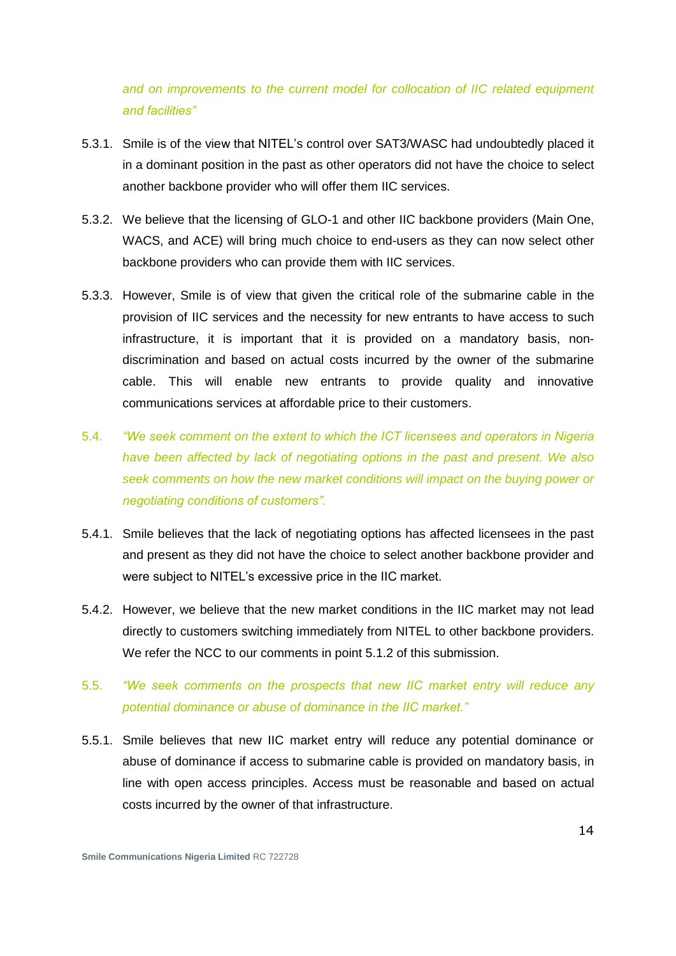*and on improvements to the current model for collocation of IIC related equipment and facilities"*

- 5.3.1. Smile is of the view that NITEL"s control over SAT3/WASC had undoubtedly placed it in a dominant position in the past as other operators did not have the choice to select another backbone provider who will offer them IIC services.
- 5.3.2. We believe that the licensing of GLO-1 and other IIC backbone providers (Main One, WACS, and ACE) will bring much choice to end-users as they can now select other backbone providers who can provide them with IIC services.
- 5.3.3. However, Smile is of view that given the critical role of the submarine cable in the provision of IIC services and the necessity for new entrants to have access to such infrastructure, it is important that it is provided on a mandatory basis, nondiscrimination and based on actual costs incurred by the owner of the submarine cable. This will enable new entrants to provide quality and innovative communications services at affordable price to their customers.
- 5.4. *"We seek comment on the extent to which the ICT licensees and operators in Nigeria have been affected by lack of negotiating options in the past and present. We also seek comments on how the new market conditions will impact on the buying power or negotiating conditions of customers".*
- 5.4.1. Smile believes that the lack of negotiating options has affected licensees in the past and present as they did not have the choice to select another backbone provider and were subject to NITEL"s excessive price in the IIC market.
- 5.4.2. However, we believe that the new market conditions in the IIC market may not lead directly to customers switching immediately from NITEL to other backbone providers. We refer the NCC to our comments in point 5.1.2 of this submission.

#### 5.5. *"We seek comments on the prospects that new IIC market entry will reduce any potential dominance or abuse of dominance in the IIC market."*

5.5.1. Smile believes that new IIC market entry will reduce any potential dominance or abuse of dominance if access to submarine cable is provided on mandatory basis, in line with open access principles. Access must be reasonable and based on actual costs incurred by the owner of that infrastructure.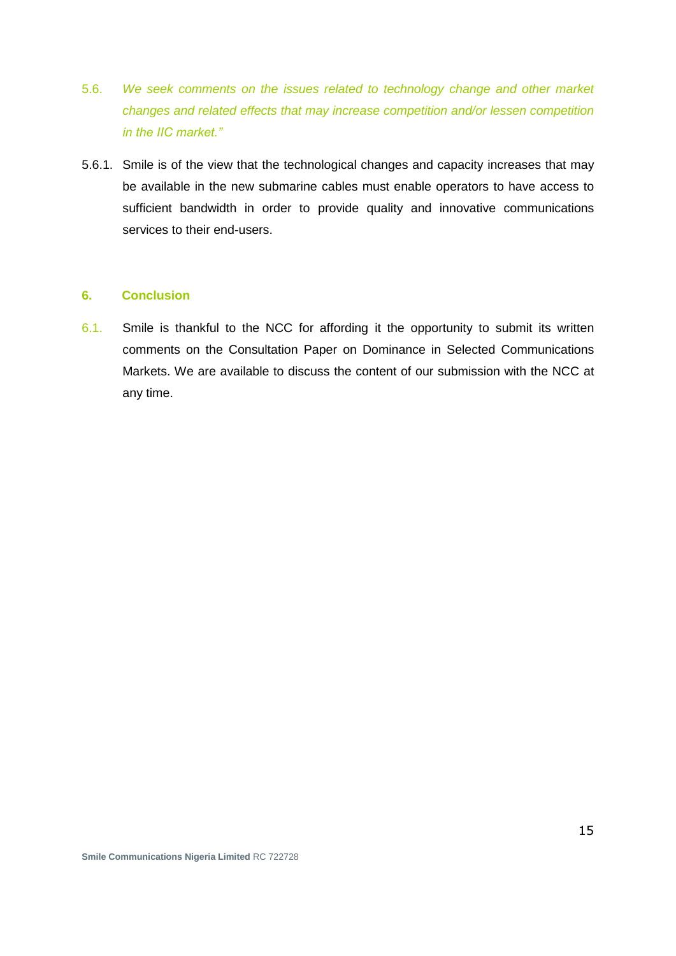- 5.6. *We seek comments on the issues related to technology change and other market changes and related effects that may increase competition and/or lessen competition in the IIC market."*
- 5.6.1. Smile is of the view that the technological changes and capacity increases that may be available in the new submarine cables must enable operators to have access to sufficient bandwidth in order to provide quality and innovative communications services to their end-users.

#### **6. Conclusion**

6.1. Smile is thankful to the NCC for affording it the opportunity to submit its written comments on the Consultation Paper on Dominance in Selected Communications Markets. We are available to discuss the content of our submission with the NCC at any time.